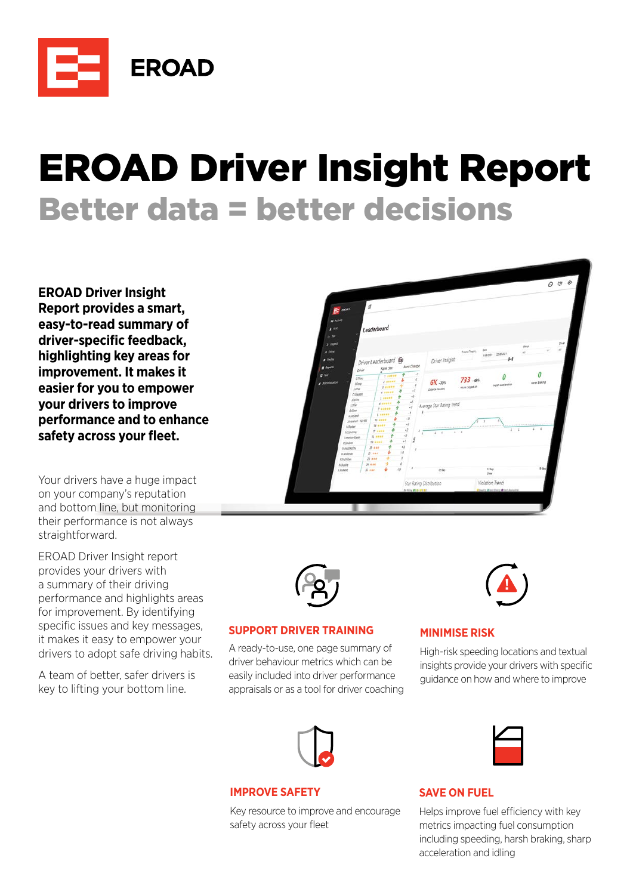

# EROAD Driver Insight Report Better data = better decisions

**EROAD Driver Insight Report provides a smart, easy-to-read summary of**  driver-specific feedback, **highlighting key areas for improvement. It makes it easier for you to empower your drivers to improve performance and to enhance**  safety across your fleet.

Your drivers have a huge impact on your company's reputation and bottom line, but monitoring their performance is not always straightforward.

EROAD Driver Insight report provides your drivers with a summary of their driving performance and highlights areas for improvement. By identifying specific issues and key messages. it makes it easy to empower your drivers to adopt safe driving habits.

A team of better, safer drivers is key to lifting your bottom line.





#### **SUPPORT DRIVER TRAINING**

A ready-to-use, one page summary of driver behaviour metrics which can be easily included into driver performance appraisals or as a tool for driver coaching



## **MINIMISE RISK**

High-risk speeding locations and textual insights provide your drivers with specific guidance on how and where to improve



## **IMPROVE SAFETY**

Key resource to improve and encourage safety across your fleet



## **SAVE ON FUEL**

Helps improve fuel efficiency with key metrics impacting fuel consumption including speeding, harsh braking, sharp acceleration and idling